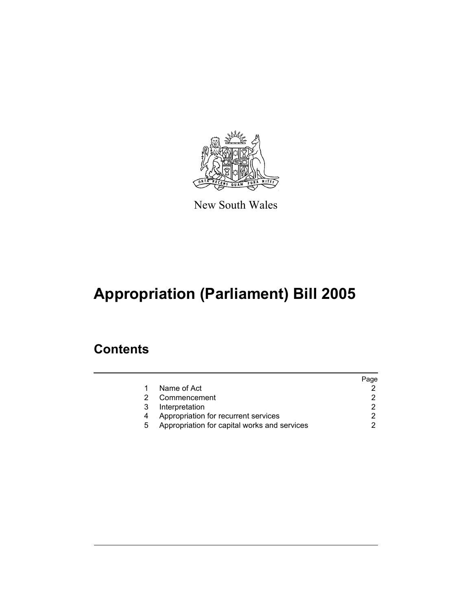

New South Wales

# **Appropriation (Parliament) Bill 2005**

### **Contents**

|   |                                              | Page |
|---|----------------------------------------------|------|
|   | Name of Act                                  |      |
|   | Commencement                                 |      |
| 3 | Interpretation                               |      |
| 4 | Appropriation for recurrent services         |      |
| 5 | Appropriation for capital works and services |      |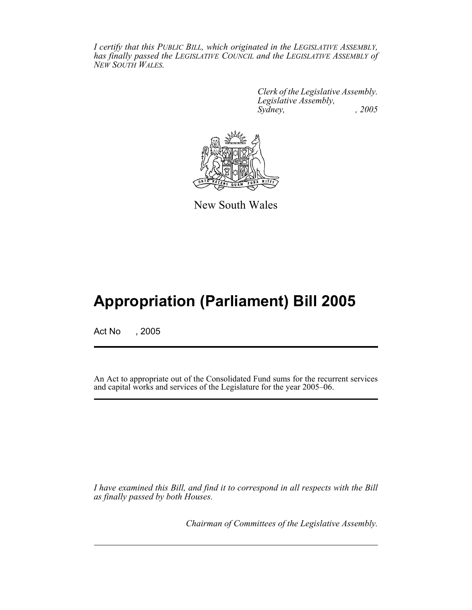*I certify that this PUBLIC BILL, which originated in the LEGISLATIVE ASSEMBLY, has finally passed the LEGISLATIVE COUNCIL and the LEGISLATIVE ASSEMBLY of NEW SOUTH WALES.*

> *Clerk of the Legislative Assembly. Legislative Assembly, Sydney, , 2005*



New South Wales

## **Appropriation (Parliament) Bill 2005**

Act No , 2005

An Act to appropriate out of the Consolidated Fund sums for the recurrent services and capital works and services of the Legislature for the year 2005–06.

*I have examined this Bill, and find it to correspond in all respects with the Bill as finally passed by both Houses.*

*Chairman of Committees of the Legislative Assembly.*